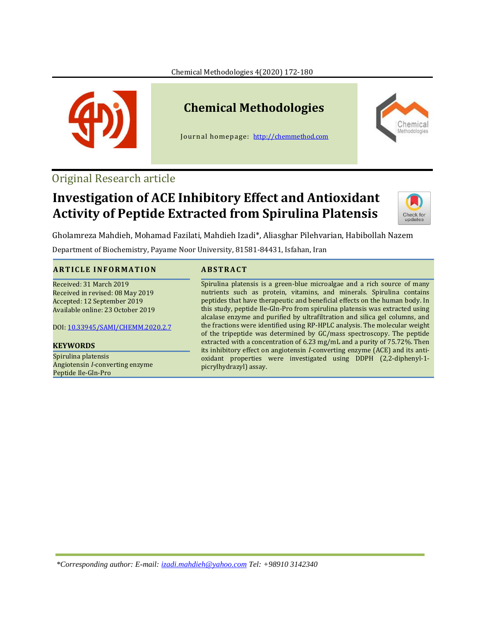Chemical Methodologies 4(2020) 172-180



# **Chemical Methodologies**

Journal homepage: [http://chemmethod.com](http://chemmethod.com/)



## Original Research article

## **Investigation of ACE Inhibitory Effect and Antioxidant Activity of Peptide Extracted from Spirulina Platensis**



Gholamreza Mahdieh, Mohamad Fazilati, Mahdieh Izadi\*, Aliasghar Pilehvarian, Habibollah Nazem

Department of Biochemistry, Payame Noor University, 81581-84431, Isfahan, Iran

#### **A R T I C L E I N F O R M A T I O N A B S T R AC T**

Received: 31 March 2019 Received in revised: 08 May 2019 Accepted: 12 September 2019 Available online: 23 October 2019

DOI: [10.33945/SAMI/CHEMM.2020.2.7](http://www.chemmethod.com/article_93155.html)

#### **KEYWORDS**

Spirulina platensis Angiotensin *I*-converting enzyme Peptide Ile-Gln-Pro

Spirulina platensis is a green-blue microalgae and a rich source of many nutrients such as protein, vitamins, and minerals. Spirulina contains peptides that have therapeutic and beneficial effects on the human body. In this study, peptide Ile-Gln-Pro from spirulina platensis was extracted using alcalase enzyme and purified by ultrafiltration and silica gel columns, and the fractions were identified using RP-HPLC analysis. The molecular weight of the tripeptide was determined by GC/mass spectroscopy. The peptide extracted with a concentration of 6.23 mg/mL and a purity of 75.72%. Then its inhibitory effect on angiotensin *I*-converting enzyme (ACE) and its antioxidant properties were investigated using DDPH (2,2-diphenyl-1 picrylhydrazyl) assay.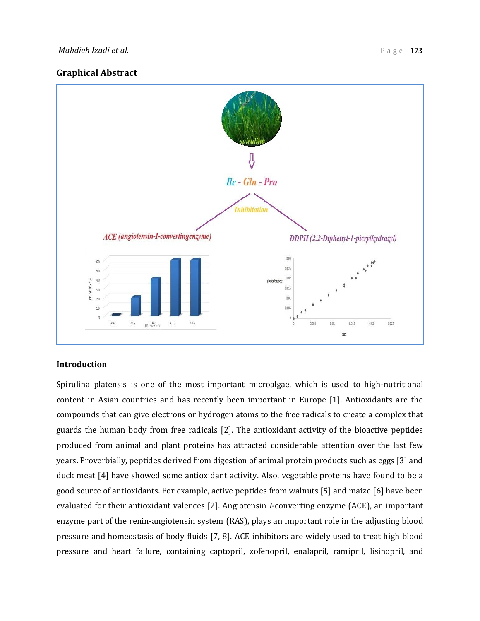#### **Graphical Abstract**



#### **Introduction**

Spirulina platensis is one of the most important microalgae, which is used to high-nutritional content in Asian countries and has recently been important in Europe [1]. Antioxidants are the compounds that can give electrons or hydrogen atoms to the free radicals to create a complex that guards the human body from free radicals [2]. The antioxidant activity of the bioactive peptides produced from animal and plant proteins has attracted considerable attention over the last few years. Proverbially, peptides derived from digestion of animal protein products such as eggs [3] and duck meat [4] have showed some antioxidant activity. Also, vegetable proteins have found to be a good source of antioxidants. For example, active peptides from walnuts [5] and maize [6] have been evaluated for their antioxidant valences [2]. Angiotensin *I*-converting enzyme (ACE), an important enzyme part of the renin-angiotensin system (RAS), plays an important role in the adjusting blood pressure and homeostasis of body fluids [7, 8]. ACE inhibitors are widely used to treat high blood pressure and heart failure, containing captopril, zofenopril, enalapril, ramipril, lisinopril, and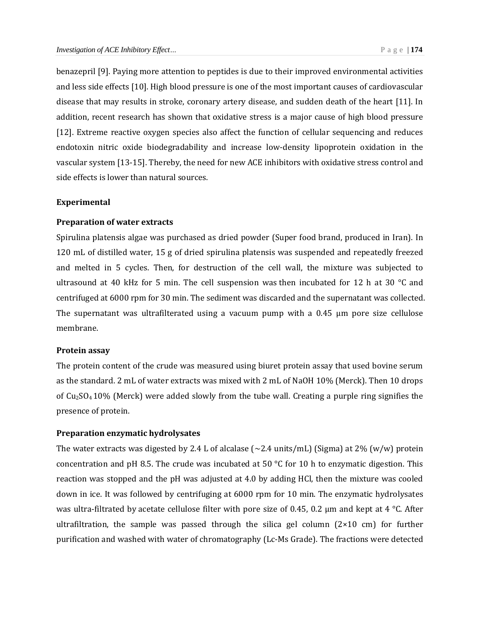benazepril [9]. Paying more attention to peptides is due to their improved environmental activities and less side effects [10]. High blood pressure is one of the most important causes of cardiovascular disease that may results in stroke, coronary artery disease, and sudden death of the heart [11]. In addition, recent research has shown that oxidative stress is a major cause of high blood pressure [12]. Extreme reactive oxygen species also affect the function of cellular sequencing and reduces endotoxin nitric oxide biodegradability and increase low-density lipoprotein oxidation in the vascular system [13-15]. Thereby, the need for new ACE inhibitors with oxidative stress control and side effects is lower than natural sources.

#### **Experimental**

#### **Preparation of water extracts**

Spirulina platensis algae was purchased as dried powder (Super food brand, produced in Iran). In 120 mL of distilled water, 15 g of dried spirulina platensis was suspended and repeatedly freezed and melted in 5 cycles. Then, for destruction of the cell wall, the mixture was subjected to ultrasound at 40 kHz for 5 min. The cell suspension was then incubated for 12 h at 30 °C and centrifuged at 6000 rpm for 30 min. The sediment was discarded and the supernatant was collected. The supernatant was ultrafilterated using a vacuum pump with a  $0.45 \mu m$  pore size cellulose membrane.

#### **Protein assay**

The protein content of the crude was measured using biuret protein assay that used bovine serum as the standard. 2 mL of water extracts was mixed with 2 mL of NaOH 10% (Merck). Then 10 drops of Cu2SO<sup>4</sup> 10% (Merck) were added slowly from the tube wall. Creating a purple ring signifies the presence of protein.

#### **Preparation enzymatic hydrolysates**

The water extracts was digested by 2.4 L of alcalase (∼2.4 units/mL) (Sigma) at 2% (w/w) protein concentration and pH 8.5. The crude was incubated at 50  $^{\circ}$ C for 10 h to enzymatic digestion. This reaction was stopped and the pH was adjusted at 4.0 by adding HCl, then the mixture was cooled down in ice. It was followed by centrifuging at 6000 rpm for 10 min. The enzymatic hydrolysates was ultra-filtrated by acetate cellulose filter with pore size of 0.45, 0.2 μm and kept at 4 °C. After ultrafiltration, the sample was passed through the silica gel column  $(2\times10 \text{ cm})$  for further purification and washed with water of chromatography (Lc-Ms Grade). The fractions were detected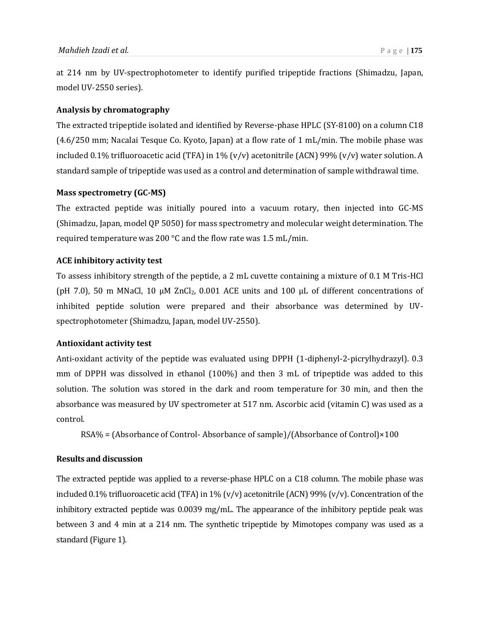at 214 nm by UV-spectrophotometer to identify purified tripeptide fractions (Shimadzu, Japan, model UV-2550 series).

### **Analysis by chromatography**

The extracted tripeptide isolated and identified by Reverse-phase HPLC (SY-8100) on a column C18 (4.6/250 mm; Nacalai Tesque Co. Kyoto, Japan) at a flow rate of 1 mL/min. The mobile phase was included 0.1% trifluoroacetic acid (TFA) in 1% (v/v) acetonitrile (ACN) 99% (v/v) water solution. A standard sample of tripeptide was used as a control and determination of sample withdrawal time.

#### **Mass spectrometry (GC-MS)**

The extracted peptide was initially poured into a vacuum rotary, then injected into GC-MS (Shimadzu, Japan, model QP 5050) for mass spectrometry and molecular weight determination. The required temperature was 200 °C and the flow rate was 1.5 mL/min.

#### **ACE inhibitory activity test**

To assess inhibitory strength of the peptide, a 2 mL cuvette containing a mixture of 0.1 M Tris-HCl (pH 7.0), 50 m MNaCl, 10 μM ZnCl<sub>2</sub>, 0.001 ACE units and 100 μL of different concentrations of inhibited peptide solution were prepared and their absorbance was determined by UVspectrophotometer (Shimadzu, Japan, model UV-2550).

#### **Antioxidant activity test**

Anti-oxidant activity of the peptide was evaluated using DPPH (1-diphenyl-2-picrylhydrazyl). 0.3 mm of DPPH was dissolved in ethanol (100%) and then 3 mL of tripeptide was added to this solution. The solution was stored in the dark and room temperature for 30 min, and then the absorbance was measured by UV spectrometer at 517 nm. Ascorbic acid (vitamin C) was used as a control.

RSA% = (Absorbance of Control- Absorbance of sample)/(Absorbance of Control)×100

#### **Results and discussion**

The extracted peptide was applied to a reverse-phase HPLC on a C18 column. The mobile phase was included 0.1% trifluoroacetic acid (TFA) in 1% (v/v) acetonitrile (ACN) 99% (v/v). Concentration of the inhibitory extracted peptide was 0.0039 mg/mL. The appearance of the inhibitory peptide peak was between 3 and 4 min at a 214 nm. The synthetic tripeptide by Mimotopes company was used as a standard (Figure 1).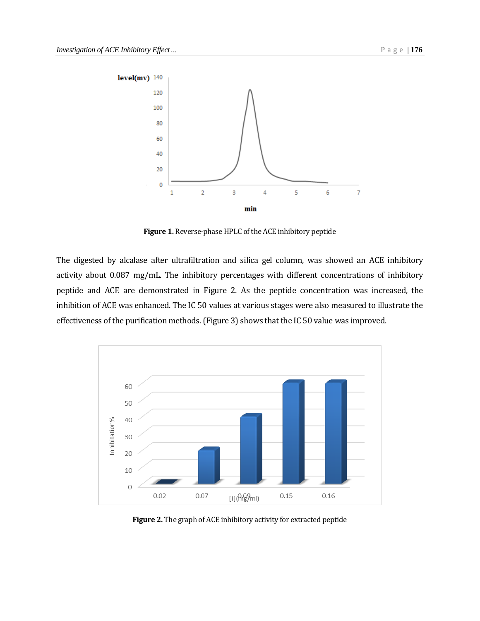

**Figure 1.** Reverse-phase HPLC of the ACE inhibitory peptide

The digested by alcalase after ultrafiltration and silica gel column, was showed an ACE inhibitory activity about 0.087 mg/mL. The inhibitory percentages with different concentrations of inhibitory peptide and ACE are demonstrated in Figure 2. As the peptide concentration was increased, the inhibition of ACE was enhanced. The IC 50 values at various stages were also measured to illustrate the effectiveness of the purification methods. (Figure 3) shows that the IC 50 value was improved.



**Figure 2.** The graph of ACE inhibitory activity for extracted peptide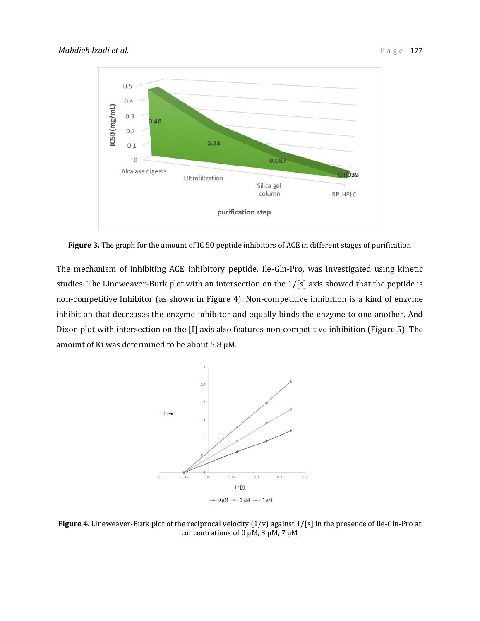

**Figure 3.** The graph for the amount of IC 50 peptide inhibitors of ACE in different stages of purification

The mechanism of inhibiting ACE inhibitory peptide, Ile-Gln-Pro, was investigated using kinetic studies. The Lineweaver-Burk plot with an intersection on the 1/[s] axis showed that the peptide is non-competitive Inhibitor (as shown in Figure 4). Non-competitive inhibition is a kind of enzyme inhibition that decreases the enzyme inhibitor and equally binds the enzyme to one another. And Dixon plot with intersection on the [I] axis also features non-competitive inhibition (Figure 5). The amount of Ki was determined to be about 5.8 μM.



**Figure 4.** Lineweaver-Burk plot of the reciprocal velocity  $(1/v)$  against  $1/[s]$  in the presence of Ile-Gln-Pro at concentrations of 0 μM, 3 μM, 7 μM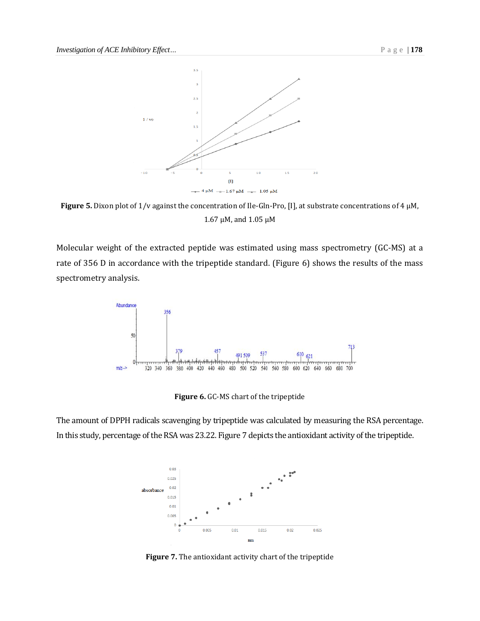

**Figure 5.** Dixon plot of 1/v against the concentration of Ile-Gln-Pro, [I], at substrate concentrations of 4 μM, 1.67 μM, and 1.05 μM

Molecular weight of the extracted peptide was estimated using mass spectrometry (GC-MS) at a rate of 356 D in accordance with the tripeptide standard. (Figure 6) shows the results of the mass spectrometry analysis.



**Figure 6.** GC-MS chart of the tripeptide

The amount of DPPH radicals scavenging by tripeptide was calculated by measuring the RSA percentage. In this study, percentage of the RSA was 23.22. Figure 7 depicts the antioxidant activity of the tripeptide.



**Figure 7.** The antioxidant activity chart of the tripeptide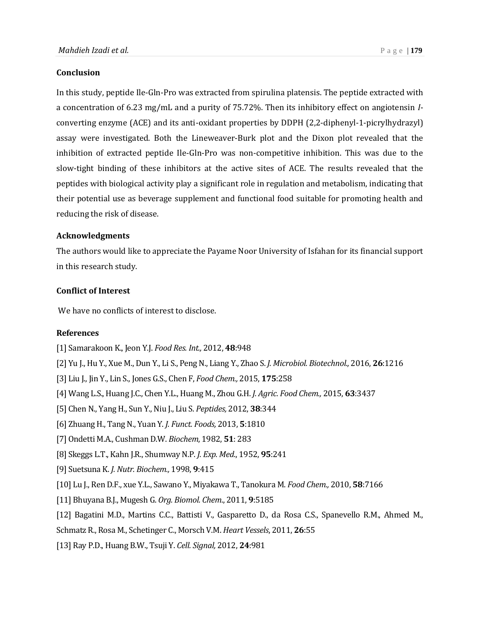#### **Conclusion**

In this study, peptide Ile-Gln-Pro was extracted from spirulina platensis. The peptide extracted with a concentration of 6.23 mg/mL and a purity of 75.72%. Then its inhibitory effect on angiotensin *I*converting enzyme (ACE) and its anti-oxidant properties by DDPH (2,2-diphenyl-1-picrylhydrazyl) assay were investigated. Both the Lineweaver-Burk plot and the Dixon plot revealed that the inhibition of extracted peptide Ile-Gln-Pro was non-competitive inhibition. This was due to the slow-tight binding of these inhibitors at the active sites of ACE. The results revealed that the peptides with biological activity play a significant role in regulation and metabolism, indicating that their potential use as beverage supplement and functional food suitable for promoting health and reducing the risk of disease.

#### **Acknowledgments**

The authors would like to appreciate the Payame Noor University of Isfahan for its financial support in this research study.

#### **Conflict of Interest**

We have no conflicts of interest to disclose.

#### **References**

- [1] Samarakoon K., Jeon Y.J. *Food Res. Int.,* 2012, **48**:948
- [2] Yu J., Hu Y., Xue M., Dun Y., Li S., Peng N., Liang Y., Zhao S. *J. Microbiol. Biotechnol.,* 2016, **26**:1216
- [3] Liu J., Jin Y., Lin S., Jones G.S., Chen F, *Food Chem.,* 2015, **175**:258
- [4] Wang L.S., Huang J.C., Chen Y.L., Huang M., Zhou G.H. *J. Agric. Food Chem.,* 2015, **63**:3437
- [5] Chen N., Yang H., Sun Y., Niu J., Liu S. *Peptides,* 2012, **38**:344
- [6] Zhuang H., Tang N., Yuan Y. *J. Funct. Foods,* 2013, **5**:1810
- [7] Ondetti M.A., Cushman D.W. *Biochem*, 1982, **51**: 283
- [8] Skeggs L.T., Kahn J.R., Shumway N.P. *J. Exp. Med*., 1952, **95**:241
- [9] Suetsuna K. *J. Nutr. Biochem.,* 1998, **9**:415
- [10] Lu J., Ren D.F., xue Y.L., Sawano Y., Miyakawa T., Tanokura M. *Food Chem.,* 2010, **58**:7166
- [11] Bhuyana B.J., Mugesh G. *Org. Biomol. Chem*., 2011, **9**:5185
- [12] Bagatini M.D., Martins C.C., Battisti V., Gasparetto D., da Rosa C.S., Spanevello R.M., Ahmed M.,
- Schmatz R., Rosa M., Schetinger C., Morsch V.M. *Heart Vessels*, 2011, **26**:55
- [13] Ray P.D., Huang B.W., Tsuji Y. *Cell. Signal,* 2012, **24**:981